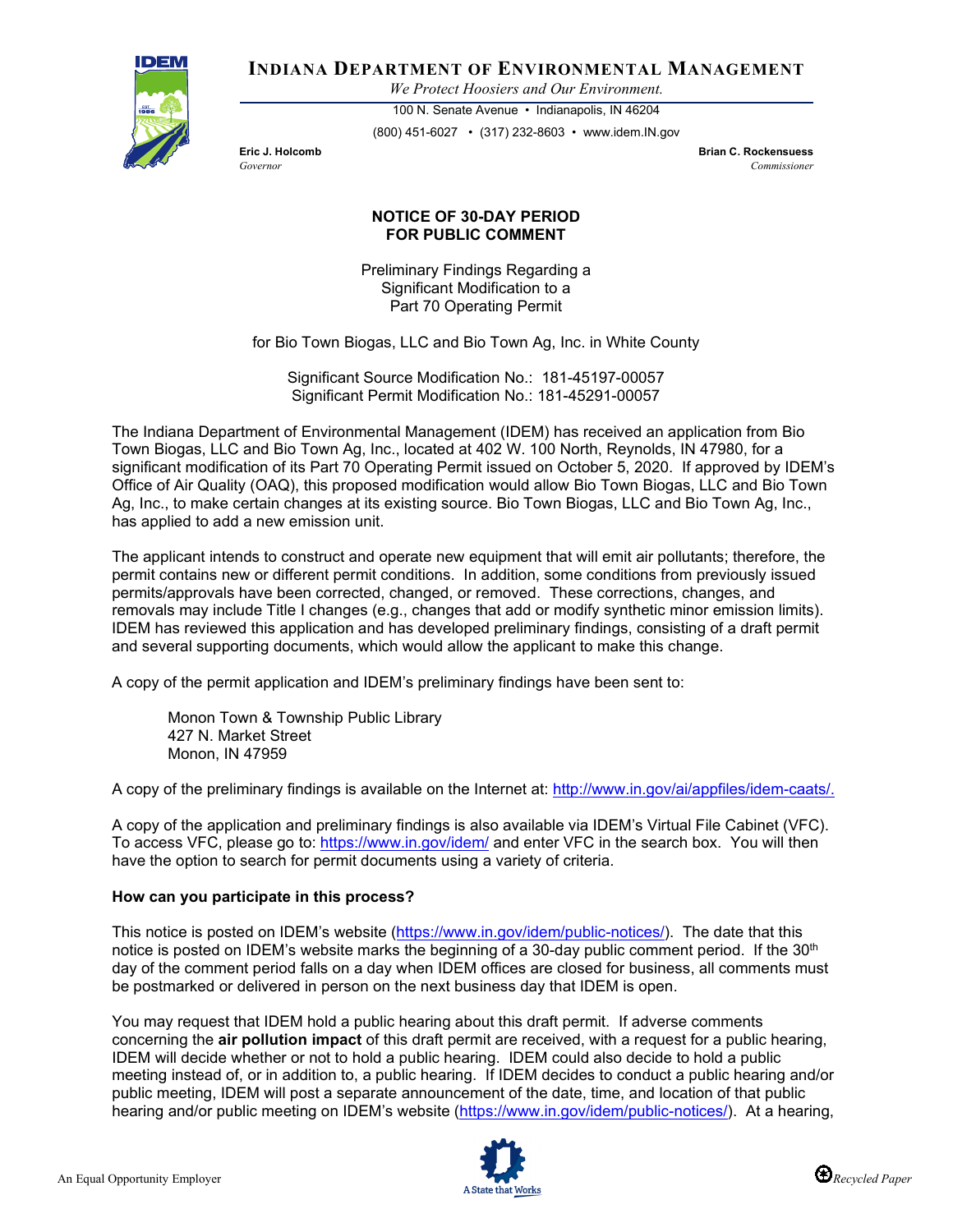

**INDIANA DEPARTMENT OF ENVIRONMENTAL MANAGEMENT**

*We Protect Hoosiers and Our Environment.*

100 N. Senate Avenue • Indianapolis, IN 46204 (800) 451-6027 • (317) 232-8603 • www.idem.IN.gov

**Eric J. Holcomb Brian C. Rockensuess** *Governor Commissioner* 

## **NOTICE OF 30-DAY PERIOD FOR PUBLIC COMMENT**

Preliminary Findings Regarding a Significant Modification to a Part 70 Operating Permit

for Bio Town Biogas, LLC and Bio Town Ag, Inc. in White County

Significant Source Modification No.: 181-45197-00057 Significant Permit Modification No.: 181-45291-00057

The Indiana Department of Environmental Management (IDEM) has received an application from Bio Town Biogas, LLC and Bio Town Ag, Inc., located at 402 W. 100 North, Reynolds, IN 47980, for a significant modification of its Part 70 Operating Permit issued on October 5, 2020. If approved by IDEM's Office of Air Quality (OAQ), this proposed modification would allow Bio Town Biogas, LLC and Bio Town Ag, Inc., to make certain changes at its existing source. Bio Town Biogas, LLC and Bio Town Ag, Inc., has applied to add a new emission unit.

The applicant intends to construct and operate new equipment that will emit air pollutants; therefore, the permit contains new or different permit conditions. In addition, some conditions from previously issued permits/approvals have been corrected, changed, or removed. These corrections, changes, and removals may include Title I changes (e.g., changes that add or modify synthetic minor emission limits). IDEM has reviewed this application and has developed preliminary findings, consisting of a draft permit and several supporting documents, which would allow the applicant to make this change.

A copy of the permit application and IDEM's preliminary findings have been sent to:

Monon Town & Township Public Library 427 N. Market Street Monon, IN 47959

A copy of the preliminary findings is available on the Internet at: [http://www.in.gov/ai/appfiles/idem-caats/.](http://www.in.gov/ai/appfiles/idem-caats/)

A copy of the application and preliminary findings is also available via IDEM's Virtual File Cabinet (VFC). To access VFC, please go to:<https://www.in.gov/idem/> and enter VFC in the search box. You will then have the option to search for permit documents using a variety of criteria.

## **How can you participate in this process?**

This notice is posted on IDEM's website [\(https://www.in.gov/idem/public-notices/\)](https://www.in.gov/idem/public-notices/). The date that this notice is posted on IDEM's website marks the beginning of a 30-day public comment period. If the 30<sup>th</sup> day of the comment period falls on a day when IDEM offices are closed for business, all comments must be postmarked or delivered in person on the next business day that IDEM is open.

You may request that IDEM hold a public hearing about this draft permit. If adverse comments concerning the **air pollution impact** of this draft permit are received, with a request for a public hearing, IDEM will decide whether or not to hold a public hearing. IDEM could also decide to hold a public meeting instead of, or in addition to, a public hearing. If IDEM decides to conduct a public hearing and/or public meeting, IDEM will post a separate announcement of the date, time, and location of that public hearing and/or public meeting on IDEM's website [\(https://www.in.gov/idem/public-notices/\)](https://www.in.gov/idem/public-notices/). At a hearing,